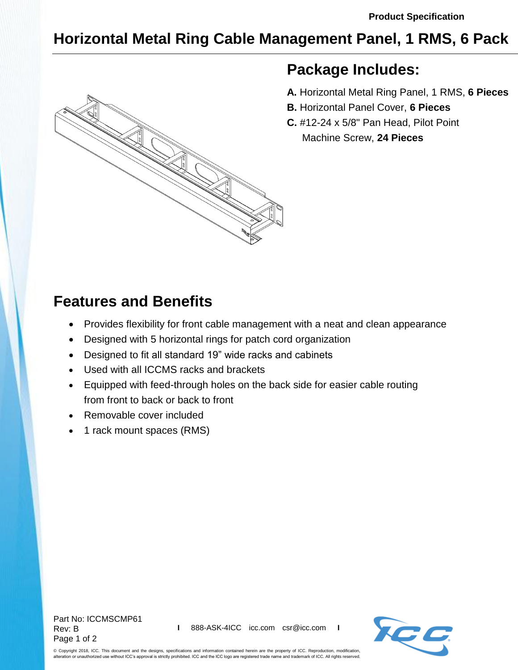## **Horizontal Metal Ring Cable Management Panel, 1 RMS, 6 Pack**



## **Package Includes:**

- **A.** Horizontal Metal Ring Panel, 1 RMS, **6 Pieces**
- **B.** Horizontal Panel Cover, **6 Pieces**
- **C.** #12-24 x 5/8" Pan Head, Pilot Point Machine Screw, **24 Pieces**

## **Features and Benefits**

- Provides flexibility for front cable management with a neat and clean appearance
- Designed with 5 horizontal rings for patch cord organization
- Designed to fit all standard 19" wide racks and cabinets
- Used with all ICCMS racks and brackets
- Equipped with feed-through holes on the back side for easier cable routing from front to back or back to front
- Removable cover included
- 1 rack mount spaces (RMS)

Part No: ICCMSCMP61 Rev: B Page 1 of 2



© Copyright 2018, ICC. This document and the designs, specifications and information contained herein are the property of ICC. Reproduction, modification, alteration or unauthorized use without ICC's approval is strictly prohibited. ICC and the ICC logo are registered trade name and trademark of ICC. All rights reserved.